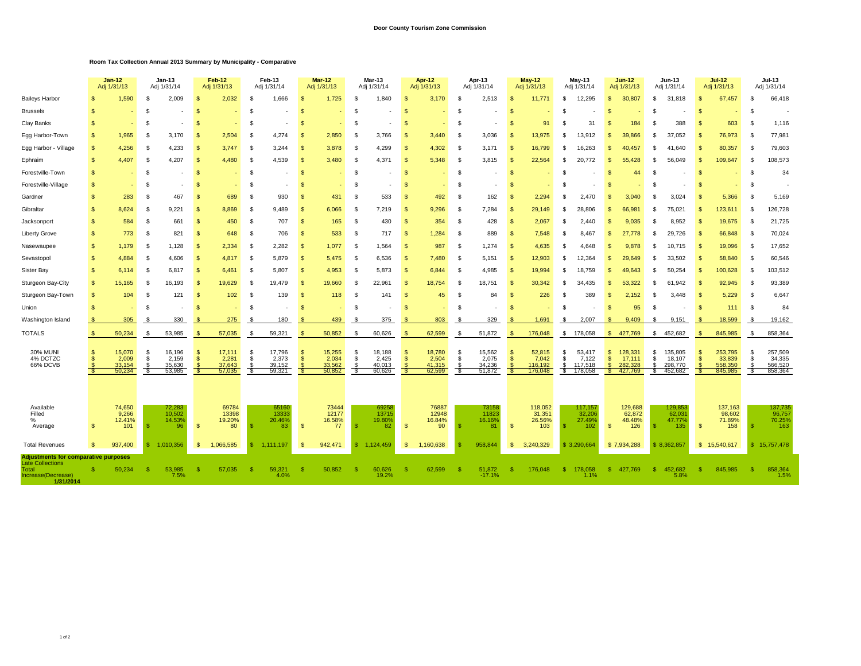## **Door County Tourism Zone Commission**

## **Room Tax Collection Annual 2013 Summary by Municipality - Comparative**

|                                                                                                                    |              | <b>Jan-12</b><br>Adj 1/31/13        | $Jan-13$<br>Adj 1/31/14 |                                     | <b>Feb-12</b><br>Adj 1/31/13 |                                     | Feb-13<br>Adj 1/31/14 |                                     | <b>Mar-12</b><br>Adj 1/31/13 |                                     | Mar-13<br>Adj 1/31/14 |                                     | Apr-12<br>Adj 1/31/13 |                                     | Apr-13<br>Adj 1/31/14  |                                     |                | $May-12$<br>Adj 1/31/13               | May-13<br>Adj 1/31/14 |                                       | <b>Jun-12</b><br>Adj 1/31/13 |                                         |          | Jun-13<br>Adj 1/31/14                   |                | <b>Jul-12</b><br>Adj 1/31/13            | Jul-13<br>Adj 1/31/14 |                                         |
|--------------------------------------------------------------------------------------------------------------------|--------------|-------------------------------------|-------------------------|-------------------------------------|------------------------------|-------------------------------------|-----------------------|-------------------------------------|------------------------------|-------------------------------------|-----------------------|-------------------------------------|-----------------------|-------------------------------------|------------------------|-------------------------------------|----------------|---------------------------------------|-----------------------|---------------------------------------|------------------------------|-----------------------------------------|----------|-----------------------------------------|----------------|-----------------------------------------|-----------------------|-----------------------------------------|
| <b>Baileys Harbor</b>                                                                                              |              | 1,590                               |                         | 2.009                               |                              | 2,032                               | £.                    | 1,666                               |                              | 1,725                               |                       | 1.840                               |                       | 3,170                               |                        | 2,513                               | \$.            | 11,771                                | \$.                   | 12,295                                | $\mathfrak{L}$               | 30,807                                  | \$.      | 31,818                                  | S.             | 67.457                                  | S                     | 66,418                                  |
| <b>Brussels</b>                                                                                                    | -S           |                                     | \$                      |                                     | ç.                           |                                     | £.                    |                                     |                              |                                     |                       |                                     | S                     |                                     | -\$                    |                                     | -\$            |                                       | £.                    |                                       | \$                           |                                         | £.       |                                         | S.             |                                         | S                     |                                         |
| Clay Banks                                                                                                         | $\mathbf{s}$ |                                     | -S                      |                                     | S                            |                                     | \$                    |                                     |                              |                                     | -S                    |                                     | S                     |                                     | -\$                    |                                     | -\$            | 91                                    | £.                    | 31                                    | \$.                          | 184                                     | S        | 388                                     | S              | 603                                     | -S                    | 1,116                                   |
| Egg Harbor-Town                                                                                                    | S.           | 1,965                               | -S                      | 3,170                               | S                            | 2,504                               | \$                    | 4,274                               | $\mathfrak{F}$               | 2,850                               | -S                    | 3,766                               | S                     | 3,440                               | -\$                    | 3,036                               | -\$            | 13,975                                | £.                    | 13,912                                | \$.                          | 39,866                                  | -S       | 37,052                                  | $\mathfrak{L}$ | 76,973                                  | -S                    | 77,981                                  |
| Egg Harbor - Village                                                                                               | $\mathbf{s}$ | 4,256                               | - \$                    | 4,233                               | S                            | 3,747                               | \$                    | 3.244                               | $\mathfrak{L}$               | 3,878                               | -S                    | 4,299                               | <b>S</b>              | 4,302                               | - \$                   | 3,171                               | - \$           | 16,799                                | £.                    | 16,263                                | \$                           | 40.457                                  | £.       | 41<br>.640                              | ŗ,             | 80,357                                  | -S                    | 79,603                                  |
| Ephraim                                                                                                            | $\mathbf{s}$ | 4,407                               | -S                      | 4.207                               | \$                           | 4,480                               | \$                    | 4,539                               | $\mathcal{S}$                | 3,480                               | -S                    | 4,371                               | <b>S</b>              | 5,348                               | $\mathfrak{L}$         | 3,815                               | -\$            | 22,564                                | £.                    | 20.772                                | $\mathfrak{L}$               | 55.428                                  | \$.      | 56.049                                  |                | 109,647                                 | -S                    | 108,573                                 |
| Forestville-Town                                                                                                   | <b>S</b>     |                                     | -S                      |                                     | S                            |                                     | \$                    |                                     | <b>S</b>                     |                                     | -S                    |                                     | S                     |                                     | - \$                   |                                     | - \$           |                                       | -S                    |                                       | <sup>\$</sup>                | 44                                      | -S       |                                         | S              |                                         | S                     | 34                                      |
| Forestville-Village                                                                                                | <b>S</b>     |                                     | -S                      |                                     | <b>S</b>                     |                                     | \$                    |                                     | $\mathfrak{L}$               |                                     | -S                    |                                     | S                     |                                     | - \$                   |                                     | -\$            |                                       | \$.                   |                                       | \$.                          |                                         | -S       |                                         | S.             |                                         | S                     |                                         |
| Gardner                                                                                                            | S.           | 283                                 | -S                      | 467                                 | S                            | 689                                 | \$                    | 930                                 | $\mathfrak{L}$               | 431                                 | -S                    | 533                                 | S                     | 492                                 | - \$                   | 162                                 | $\mathfrak{s}$ | 2,294                                 | £.                    | 2,470                                 | \$.                          | 3,040                                   | \$.      | 3,024                                   |                | 5,366                                   | S                     | 5,169                                   |
| Gibraltar                                                                                                          | <b>S</b>     | 8,624                               | - \$                    | 9.221                               | <b>S</b>                     | 8,869                               | \$                    | 9.489                               | $\mathcal{S}$                | 6,066                               | <b>S</b>              | 7.219                               | <b>S</b>              | 9,296                               | - \$                   | 7,284                               | -S             | 29,149                                | \$                    | 28.806                                | \$                           | 66.981                                  | -S       | 75,021                                  | £.             | 123,61                                  | S                     | 126,728                                 |
| Jacksonport                                                                                                        | <b>S</b>     | 584                                 | -S                      | 661                                 | S                            | 450                                 | - \$                  | 707                                 | - \$                         | 165                                 | -S                    | 430                                 | -S                    | 354                                 | - \$                   | 428                                 | -\$            | 2,067                                 | -S                    | 2.440                                 | \$                           | 9,035                                   | -S       | 8,952                                   | - \$           | 19,675                                  | -S                    | 21,725                                  |
| <b>Liberty Grove</b>                                                                                               | S.           | 773                                 | -S                      | 821                                 | S                            | 648                                 | - \$                  | 706                                 | <b>S</b>                     | 533                                 | - \$                  | 717                                 | -\$                   | 1,284                               | - \$                   | 889                                 | -\$            | 7,548                                 | - \$                  | 8,467                                 | \$                           | 27,778                                  | -S       | 29,726                                  | -\$            | 66,848                                  | -S                    | 70,024                                  |
| Nasewaupee                                                                                                         | \$           | 1,179                               | -S                      | 1,128                               | S                            | 2,334                               | - \$                  | 2,282                               | <b>S</b>                     | 1,077                               | - \$                  | 1,564                               | -S                    | 987                                 | - \$                   | 1,274                               | - \$           | 4,635                                 | £.                    | 4,648                                 | S                            | 9,878                                   | -S       | 10,715                                  | -9             | 19,096                                  | -S                    | 17,652                                  |
| Sevastopol                                                                                                         | \$           | 4,884                               | -S                      | 4,606                               | \$                           | 4,817                               | \$                    | 5,879                               | $\mathfrak{F}$               | 5,475                               | - \$                  | 6,536                               | -S                    | 7,480                               | -\$                    | 5,151                               | -\$            | 12,903                                | \$                    | 12,364                                | \$                           | 29,649                                  | \$.      | 33,502                                  | -S             | 58,840                                  | -S                    | 60,546                                  |
| Sister Bay                                                                                                         | \$           | 6,114                               | -S                      | 6,817                               | S                            | 6,461                               | \$                    | 5,807                               | <b>S</b>                     | 4,953                               | -S                    | 5,873                               | -S                    | 6,844                               | -\$                    | 4,985                               | -\$            | 19,994                                | £.                    | 18,759                                | \$                           | 49,643                                  | -S       | 50.254                                  | -\$            | 100,628                                 | -S                    | 103,512                                 |
| Sturgeon Bay-City                                                                                                  | S.           | 15,165                              | -S                      | 16,193                              | -S                           | 19,629                              | - \$                  | 19.479                              | - \$                         | 19,660                              | -S                    | 22.961                              | -S                    | 18,754                              | - \$                   | 18,751                              | - \$           | 30,342                                | - \$                  | 34.435                                | \$                           | 53,322                                  | -S       | 61<br>.942                              | -9             | 92,945                                  | -S                    | 93,389                                  |
| Sturgeon Bay-Town                                                                                                  | S.           | 104                                 | -S                      | 121                                 | S                            | 102                                 | \$                    | 139                                 | <b>S</b>                     | 118                                 | - \$                  | 141                                 | S                     | 45                                  | - \$                   | 84                                  | -S             | 226                                   | S                     | 389                                   | S.                           | 2,152                                   | -S       | 3.448                                   |                | 5,229                                   | S                     | 6,647                                   |
| Union                                                                                                              | -96          |                                     | -S                      |                                     | <b>S</b>                     |                                     | \$                    |                                     | Я.                           |                                     | -S                    |                                     | £.                    |                                     | - \$                   |                                     | \$.            |                                       | £.                    |                                       | £.                           | 95                                      | -S       |                                         | -9             | 111                                     | S                     | 84                                      |
| Washington Island                                                                                                  |              | 305                                 | -S                      | 330                                 | -S                           | 275                                 | - 5                   | 180                                 |                              | 439                                 | - 5                   | 375                                 | -S                    | 803                                 | - \$                   | 329                                 | -SS            | 1,691                                 | -S                    | 2,007                                 | $\mathfrak{F}$               | 9,409                                   | S.       | 9,151                                   | - \$           | 18,599                                  | - \$                  | 19,162                                  |
| <b>TOTALS</b>                                                                                                      | S.           | 50,234                              |                         | 53,985                              |                              | 57,035                              |                       | 59,321                              |                              | 50,852                              |                       | 60,626                              |                       | 62,599                              |                        | 51,872                              |                | 176,048                               | S.                    | 178,058                               | \$.                          | 427,769                                 | S.       | 452,682                                 |                | 845,985                                 | -S                    | 858,364                                 |
| <b>30% MUNI</b><br>4% DCTZC<br>66% DCVB                                                                            | - 95         | 15,070<br>2,009<br>33,154<br>50,234 | -S<br>\$                | 16,196<br>2,159<br>35.630<br>53,985 | S<br>S                       | 17,111<br>2,281<br>37,643<br>57,035 | \$<br>\$              | 17,796<br>2,373<br>39,152<br>59,321 | -S<br>$\mathfrak{F}$         | 15,255<br>2,034<br>33,562<br>50,852 | - 5<br>-S             | 18,188<br>2,425<br>40,013<br>60,626 | S<br>S                | 18,780<br>2,504<br>41,315<br>62,599 | - \$<br>$\mathfrak{L}$ | 15,562<br>2,075<br>34,236<br>51,872 | - 5<br>-\$     | 52,815<br>7,042<br>116.192<br>176,048 | \$<br>Ŝ.              | 53,417<br>7,122<br>117,518<br>178,058 | \$<br>$\mathbf{s}$           | 128,331<br>17,111<br>282,328<br>427,769 | \$<br>\$ | 135,805<br>18,107<br>298,770<br>452,682 | S.<br>\$.      | 253,795<br>33,839<br>558,350<br>845,985 | \$<br>\$              | 257,509<br>34,335<br>566,520<br>858,364 |
| Available<br>Filled<br>$\%$<br>Average                                                                             | $\mathbf{s}$ | 74,650<br>9,266<br>12.41%<br>101    |                         | 72,283<br>10,502<br>14.53%<br>96    | <sub>\$</sub>                | 69784<br>13398<br>19.20%<br>80      |                       | 65160<br>13333<br>20.46%<br>83      | $\mathcal{S}$                | 73444<br>12177<br>16.58%<br>77      |                       | 69258<br>13715<br>19.80%<br>82      | $\mathbf{s}$          | 76887<br>12948<br>16.84%<br>90      | - 95                   | 73158<br>1182<br>16.16%<br>-81      | $\mathbf{s}$   | 118,052<br>31,351<br>26.56%<br>103    | -9                    | 117,157<br>32,206<br>27.49%<br>102    | $\mathbf{s}$                 | 129,688<br>62,872<br>48.48%<br>126      | -S       | 129,853<br>62,03'<br>47.77%<br>135      | $\mathbf{s}$   | 137,163<br>98,602<br>71.89%<br>158      | -S                    | 137,735<br>96,757<br>70.25%<br>163      |
| <b>Total Revenues</b>                                                                                              | $\mathbf{s}$ | 937,400                             |                         | 1.010.356                           | <b>S</b>                     | 1,066,585                           | <b>S</b>              | 1.111.197                           | $\mathfrak{s}$               | 942,471                             | s.                    | 1.124.459                           | -\$                   | 1,160,638                           |                        | 958.844                             | <sup>\$</sup>  | 3,240,329                             | \$3,290,664           |                                       |                              | \$7,934,288                             |          | \$8,362,857                             |                | \$15,540,617                            | S.                    | 15,757,478                              |
| <b>Adjustments for comparative purposes</b><br><b>Late Collections</b><br>Total<br>Increase(Decrease)<br>1/31/2014 |              | 50,234                              |                         | 53,985<br>7.5%                      |                              | 57,035                              | -S                    | 59,321<br>4.0%                      |                              | 50,852                              |                       | 60,626<br>19.2%                     | S                     | 62,599                              |                        | 51,872<br>$-17.1%$                  | S              | 176,048                               | S.                    | 178,058<br>1.1%                       | \$                           | 427,769                                 | -S.      | 452,682<br>5.8%                         | S              | 845,985                                 | -S                    | 858,364<br>1.5%                         |